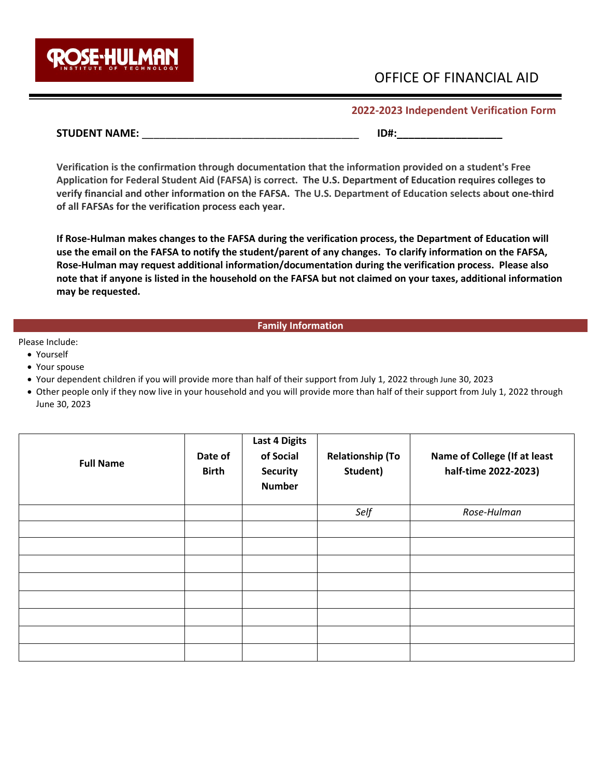

# OFFICE OF FINANCIAL AID

## **2022-2023 Independent Verification Form**

## **STUDENT NAME:**  $\blacksquare$

**Verification is the confirmation through documentation that the information provided on a student's Free Application for Federal Student Aid (FAFSA) is correct. The U.S. Department of Education requires colleges to verify financial and other information on the FAFSA. The U.S. Department of Education selects about one-third of all FAFSAs for the verification process each year.** 

**If Rose-Hulman makes changes to the FAFSA during the verification process, the Department of Education will use the email on the FAFSA to notify the student/parent of any changes. To clarify information on the FAFSA, Rose-Hulman may request additional information/documentation during the verification process. Please also note that if anyone is listed in the household on the FAFSA but not claimed on your taxes, additional information may be requested.** 

### **Family Information**

## Please Include:

- Yourself
- Your spouse
- Your dependent children if you will provide more than half of their support from July 1, 2022 through June 30, 2023
- Other people only if they now live in your household and you will provide more than half of their support from July 1, 2022 through June 30, 2023

| <b>Full Name</b> | Date of<br><b>Birth</b> | <b>Last 4 Digits</b><br>of Social<br><b>Security</b><br><b>Number</b> | <b>Relationship (To</b><br>Student) | Name of College (If at least<br>half-time 2022-2023) |
|------------------|-------------------------|-----------------------------------------------------------------------|-------------------------------------|------------------------------------------------------|
|                  |                         |                                                                       | Self                                | Rose-Hulman                                          |
|                  |                         |                                                                       |                                     |                                                      |
|                  |                         |                                                                       |                                     |                                                      |
|                  |                         |                                                                       |                                     |                                                      |
|                  |                         |                                                                       |                                     |                                                      |
|                  |                         |                                                                       |                                     |                                                      |
|                  |                         |                                                                       |                                     |                                                      |
|                  |                         |                                                                       |                                     |                                                      |
|                  |                         |                                                                       |                                     |                                                      |